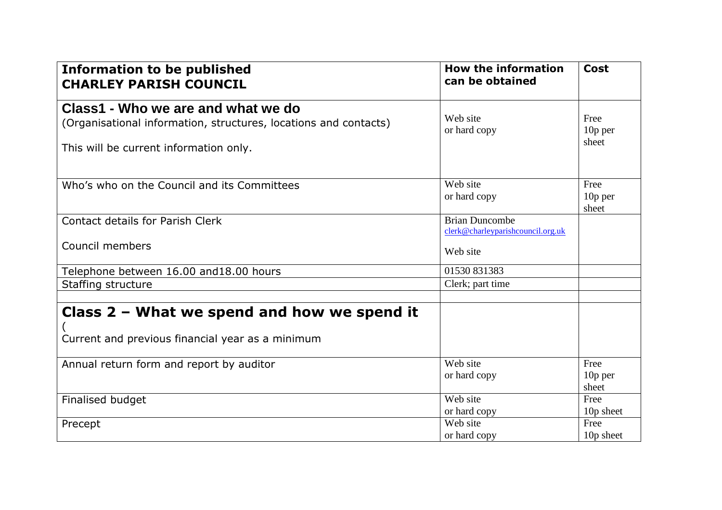| <b>Information to be published</b><br><b>CHARLEY PARISH COUNCIL</b>                                                                              | <b>How the information</b><br>can be obtained              | <b>Cost</b>              |
|--------------------------------------------------------------------------------------------------------------------------------------------------|------------------------------------------------------------|--------------------------|
| Class1 - Who we are and what we do<br>(Organisational information, structures, locations and contacts)<br>This will be current information only. | Web site<br>or hard copy                                   | Free<br>10p per<br>sheet |
| Who's who on the Council and its Committees                                                                                                      | Web site<br>or hard copy                                   | Free<br>10p per<br>sheet |
| <b>Contact details for Parish Clerk</b>                                                                                                          | <b>Brian Duncombe</b><br>clerk@charleyparishcouncil.org.uk |                          |
| Council members                                                                                                                                  | Web site                                                   |                          |
| Telephone between 16.00 and 18.00 hours                                                                                                          | 01530 831383                                               |                          |
| Staffing structure                                                                                                                               | Clerk; part time                                           |                          |
| Class 2 - What we spend and how we spend it<br>Current and previous financial year as a minimum                                                  |                                                            |                          |
| Annual return form and report by auditor                                                                                                         | Web site<br>or hard copy                                   | Free<br>10p per<br>sheet |
| Finalised budget                                                                                                                                 | Web site                                                   | Free                     |
|                                                                                                                                                  | or hard copy<br>Web site                                   | 10p sheet<br>Free        |
| Precept                                                                                                                                          | or hard copy                                               | 10p sheet                |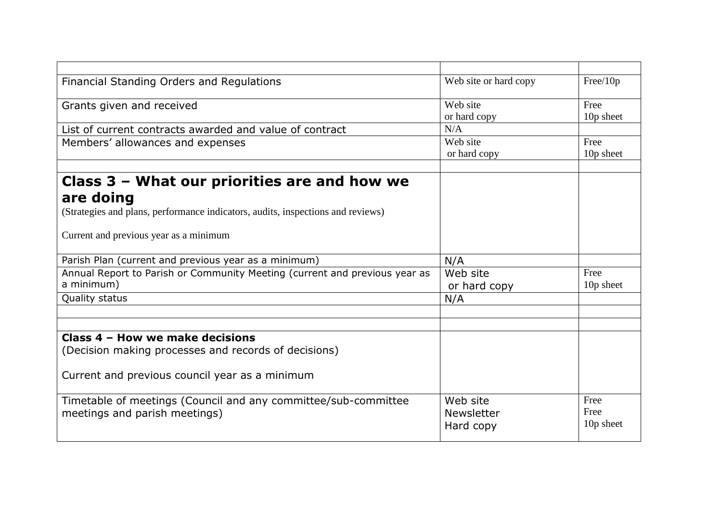| Financial Standing Orders and Regulations                                       | Web site or hard copy | Free/10p  |
|---------------------------------------------------------------------------------|-----------------------|-----------|
| Grants given and received                                                       | Web site              | Free      |
|                                                                                 | or hard copy          | 10p sheet |
| List of current contracts awarded and value of contract                         | N/A                   |           |
| Members' allowances and expenses                                                | Web site              | Free      |
|                                                                                 | or hard copy          | 10p sheet |
|                                                                                 |                       |           |
| Class 3 – What our priorities are and how we                                    |                       |           |
| are doing                                                                       |                       |           |
| (Strategies and plans, performance indicators, audits, inspections and reviews) |                       |           |
| Current and previous year as a minimum                                          |                       |           |
| Parish Plan (current and previous year as a minimum)                            | N/A                   |           |
| Annual Report to Parish or Community Meeting (current and previous year as      | Web site              | Free      |
| a minimum)                                                                      | or hard copy          | 10p sheet |
| Quality status                                                                  | N/A                   |           |
|                                                                                 |                       |           |
|                                                                                 |                       |           |
| Class 4 - How we make decisions                                                 |                       |           |
| (Decision making processes and records of decisions)                            |                       |           |
|                                                                                 |                       |           |
| Current and previous council year as a minimum                                  |                       |           |
|                                                                                 |                       |           |
| Timetable of meetings (Council and any committee/sub-committee                  | Web site              | Free      |
| meetings and parish meetings)                                                   | <b>Newsletter</b>     | Free      |
|                                                                                 | Hard copy             | 10p sheet |
|                                                                                 |                       |           |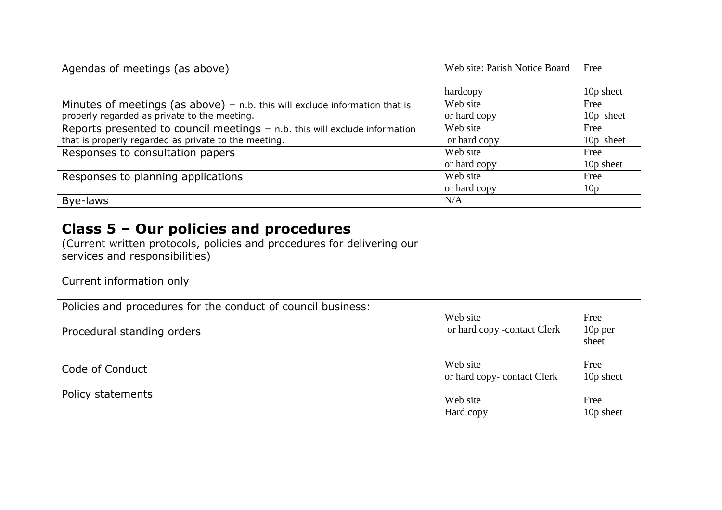| 10p sheet<br>10p sheet |
|------------------------|
|                        |
|                        |
|                        |
|                        |
|                        |
| 10p sheet              |
|                        |
| 10 <sub>p</sub> sheet  |
|                        |
|                        |
|                        |
|                        |
|                        |
|                        |
| 10 <sub>p</sub> per    |
| 10p sheet              |
|                        |
| 10p sheet              |
|                        |
|                        |
|                        |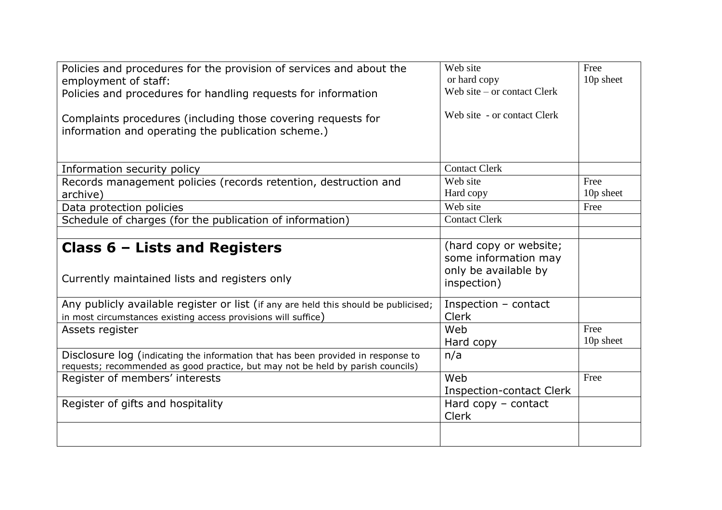| Policies and procedures for the provision of services and about the<br>employment of staff:<br>Policies and procedures for handling requests for information<br>Complaints procedures (including those covering requests for<br>information and operating the publication scheme.) | Web site<br>or hard copy<br>Web site $-$ or contact Clerk<br>Web site - or contact Clerk | Free<br>10p sheet |
|------------------------------------------------------------------------------------------------------------------------------------------------------------------------------------------------------------------------------------------------------------------------------------|------------------------------------------------------------------------------------------|-------------------|
| Information security policy                                                                                                                                                                                                                                                        | <b>Contact Clerk</b>                                                                     |                   |
| Records management policies (records retention, destruction and                                                                                                                                                                                                                    | Web site                                                                                 | Free              |
| archive)                                                                                                                                                                                                                                                                           | Hard copy                                                                                | 10p sheet         |
| Data protection policies                                                                                                                                                                                                                                                           | Web site                                                                                 | Free              |
| Schedule of charges (for the publication of information)                                                                                                                                                                                                                           | <b>Contact Clerk</b>                                                                     |                   |
|                                                                                                                                                                                                                                                                                    |                                                                                          |                   |
| Class 6 - Lists and Registers<br>Currently maintained lists and registers only                                                                                                                                                                                                     | (hard copy or website;<br>some information may<br>only be available by<br>inspection)    |                   |
| Any publicly available register or list (if any are held this should be publicised;                                                                                                                                                                                                | Inspection - contact                                                                     |                   |
| in most circumstances existing access provisions will suffice)                                                                                                                                                                                                                     | <b>Clerk</b>                                                                             |                   |
| Assets register                                                                                                                                                                                                                                                                    | Web                                                                                      | Free              |
|                                                                                                                                                                                                                                                                                    | Hard copy                                                                                | 10p sheet         |
| Disclosure log (indicating the information that has been provided in response to<br>requests; recommended as good practice, but may not be held by parish councils)                                                                                                                | n/a                                                                                      |                   |
| Register of members' interests                                                                                                                                                                                                                                                     | Web                                                                                      | Free              |
|                                                                                                                                                                                                                                                                                    | <b>Inspection-contact Clerk</b>                                                          |                   |
| Register of gifts and hospitality                                                                                                                                                                                                                                                  | Hard copy - contact<br><b>Clerk</b>                                                      |                   |
|                                                                                                                                                                                                                                                                                    |                                                                                          |                   |